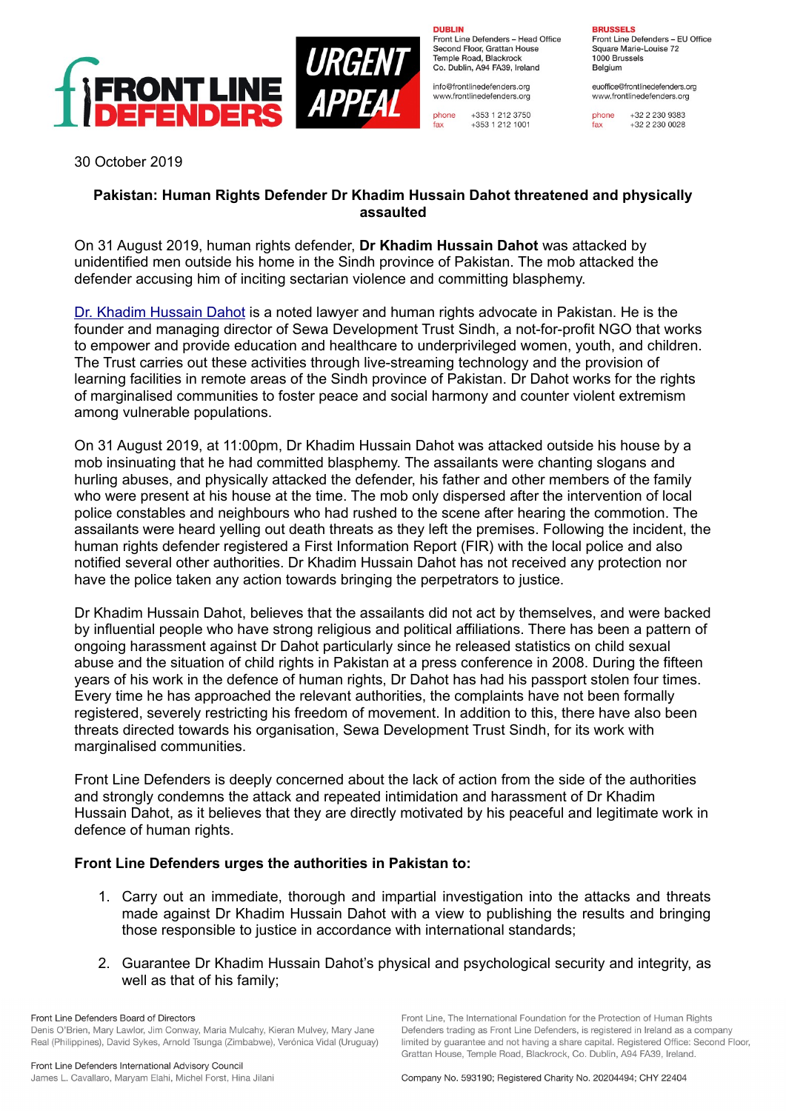

**DUBLIN** Front Line Defenders - Head Office Second Floor, Grattan House Temple Boad, Blackrock Co. Dublin, A94 FA39, Ireland

info@frontlinedefenders.org www.frontlinedefenders.org

phone +353 1 212 3750 +353 1 212 1001 fax

**RRUSSELS** 

Front Line Defenders - EU Office Square Marie-Louise 72 1000 Brussels Belgium

euoffice@frontlinedefenders.org www.frontlinedefenders.org

phone +32 2 230 9383  $fax$  $+3222300028$ 

30 October 2019

## **Pakistan: Human Rights Defender Dr Khadim Hussain Dahot threatened and physically assaulted**

On 31 August 2019, human rights defender, **Dr Khadim Hussain Dahot** was attacked by unidentified men outside his home in the Sindh province of Pakistan. The mob attacked the defender accusing him of inciting sectarian violence and committing blasphemy.

[Dr. Khadim Hussain Dahot](https://www.frontlinedefenders.org/en/profile/dr-khadim-hussain-dahot) is a noted lawyer and human rights advocate in Pakistan. He is the founder and managing director of Sewa Development Trust Sindh, a not-for-profit NGO that works to empower and provide education and healthcare to underprivileged women, youth, and children. The Trust carries out these activities through live-streaming technology and the provision of learning facilities in remote areas of the Sindh province of Pakistan. Dr Dahot works for the rights of marginalised communities to foster peace and social harmony and counter violent extremism among vulnerable populations.

On 31 August 2019, at 11:00pm, Dr Khadim Hussain Dahot was attacked outside his house by a mob insinuating that he had committed blasphemy. The assailants were chanting slogans and hurling abuses, and physically attacked the defender, his father and other members of the family who were present at his house at the time. The mob only dispersed after the intervention of local police constables and neighbours who had rushed to the scene after hearing the commotion. The assailants were heard yelling out death threats as they left the premises. Following the incident, the human rights defender registered a First Information Report (FIR) with the local police and also notified several other authorities. Dr Khadim Hussain Dahot has not received any protection nor have the police taken any action towards bringing the perpetrators to justice.

Dr Khadim Hussain Dahot, believes that the assailants did not act by themselves, and were backed by influential people who have strong religious and political affiliations. There has been a pattern of ongoing harassment against Dr Dahot particularly since he released statistics on child sexual abuse and the situation of child rights in Pakistan at a press conference in 2008. During the fifteen years of his work in the defence of human rights, Dr Dahot has had his passport stolen four times. Every time he has approached the relevant authorities, the complaints have not been formally registered, severely restricting his freedom of movement. In addition to this, there have also been threats directed towards his organisation, Sewa Development Trust Sindh, for its work with marginalised communities.

Front Line Defenders is deeply concerned about the lack of action from the side of the authorities and strongly condemns the attack and repeated intimidation and harassment of Dr Khadim Hussain Dahot, as it believes that they are directly motivated by his peaceful and legitimate work in defence of human rights.

## **Front Line Defenders urges the authorities in Pakistan to:**

- 1. Carry out an immediate, thorough and impartial investigation into the attacks and threats made against Dr Khadim Hussain Dahot with a view to publishing the results and bringing those responsible to justice in accordance with international standards;
- 2. Guarantee Dr Khadim Hussain Dahot's physical and psychological security and integrity, as well as that of his family;

Front Line Defenders Board of Directors Denis O'Brien, Mary Lawlor, Jim Conway, Maria Mulcahy, Kieran Mulvey, Mary Jane Real (Philippines), David Sykes, Arnold Tsunga (Zimbabwe), Verónica Vidal (Uruguay) Front Line, The International Foundation for the Protection of Human Rights

Defenders trading as Front Line Defenders, is registered in Ireland as a company

limited by guarantee and not having a share capital. Registered Office: Second Floor,